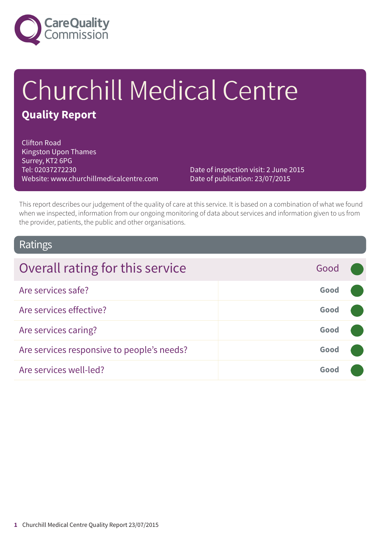

# Churchill Medical Centre **Quality Report**

Clifton Road Kingston Upon Thames Surrey, KT2 6PG Tel: 02037272230 Website: www.churchillmedicalcentre.com

Date of inspection visit: 2 June 2015 Date of publication: 23/07/2015

This report describes our judgement of the quality of care at this service. It is based on a combination of what we found when we inspected, information from our ongoing monitoring of data about services and information given to us from the provider, patients, the public and other organisations.

### Ratings

| Overall rating for this service            | Good |  |
|--------------------------------------------|------|--|
| Are services safe?                         | Good |  |
| Are services effective?                    | Good |  |
| Are services caring?                       | Good |  |
| Are services responsive to people's needs? | Good |  |
| Are services well-led?                     | Good |  |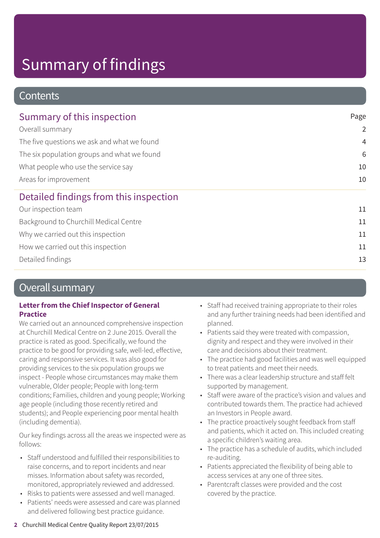### **Contents**

| Summary of this inspection                                                                                                                                                    | Page           |
|-------------------------------------------------------------------------------------------------------------------------------------------------------------------------------|----------------|
| Overall summary<br>The five questions we ask and what we found<br>The six population groups and what we found<br>What people who use the service say<br>Areas for improvement | $\overline{2}$ |
|                                                                                                                                                                               | $\overline{4}$ |
|                                                                                                                                                                               | 6              |
|                                                                                                                                                                               | 10             |
|                                                                                                                                                                               | 10             |
| Detailed findings from this inspection                                                                                                                                        |                |
| Our inspection team                                                                                                                                                           | 11             |
| Background to Churchill Medical Centre                                                                                                                                        | 11             |
| Why we carried out this inspection                                                                                                                                            | 11             |
| How we carried out this inspection                                                                                                                                            | 11             |
| Detailed findings                                                                                                                                                             | 13             |

### Overall summary

#### **Letter from the Chief Inspector of General Practice**

We carried out an announced comprehensive inspection at Churchill Medical Centre on 2 June 2015. Overall the practice is rated as good. Specifically, we found the practice to be good for providing safe, well-led, effective, caring and responsive services. It was also good for providing services to the six population groups we inspect - People whose circumstances may make them vulnerable, Older people; People with long-term conditions; Families, children and young people; Working age people (including those recently retired and students); and People experiencing poor mental health (including dementia).

Our key findings across all the areas we inspected were as follows:

- Staff understood and fulfilled their responsibilities to raise concerns, and to report incidents and near misses. Information about safety was recorded, monitored, appropriately reviewed and addressed.
- Risks to patients were assessed and well managed.
- Patients' needs were assessed and care was planned and delivered following best practice guidance.
- Staff had received training appropriate to their roles and any further training needs had been identified and planned.
- Patients said they were treated with compassion, dignity and respect and they were involved in their care and decisions about their treatment.
- The practice had good facilities and was well equipped to treat patients and meet their needs.
- There was a clear leadership structure and staff felt supported by management.
- Staff were aware of the practice's vision and values and contributed towards them. The practice had achieved an Investors in People award.
- The practice proactively sought feedback from staff and patients, which it acted on. This included creating a specific children's waiting area.
- The practice has a schedule of audits, which included re-auditing.
- Patients appreciated the flexibility of being able to access services at any one of three sites.
- Parentcraft classes were provided and the cost covered by the practice.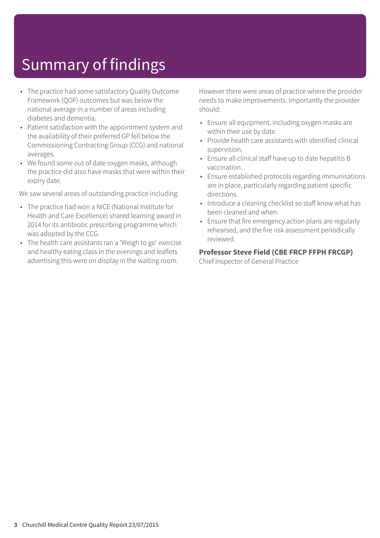- The practice had some satisfactory Quality Outcome Framework (QOF) outcomes but was below the national average in a number of areas including diabetes and dementia.
- Patient satisfaction with the appointment system and the availability of their preferred GP fell below the Commissioning Contracting Group (CCG) and national averages.
- We found some out of date oxygen masks, although the practice did also have masks that were within their expiry date.

We saw several areas of outstanding practice including:

- The practice had won a NICE (National Institute for Health and Care Excellence) shared learning award in 2014 for its antibiotic prescribing programme which was adopted by the CCG.
- The health care assistants ran a 'Weigh to go' exercise and healthy eating class in the evenings and leaflets advertising this were on display in the waiting room.

However there were areas of practice where the provider needs to make improvements. Importantly the provider should:

- Ensure all equipment, including oxygen masks are within their use by date.
- Provide health care assistants with identified clinical supervision.
- Ensure all clinical staff have up to date hepatitis B vaccination.
- Ensure established protocols regarding immunisations are in place, particularly regarding patient specific directions.
- Introduce a cleaning checklist so staff know what has been cleaned and when.
- Ensure that fire emergency action plans are regularly rehearsed, and the fire risk assessment periodically reviewed.

#### **Professor Steve Field (CBE FRCP FFPH FRCGP)**

Chief Inspector of General Practice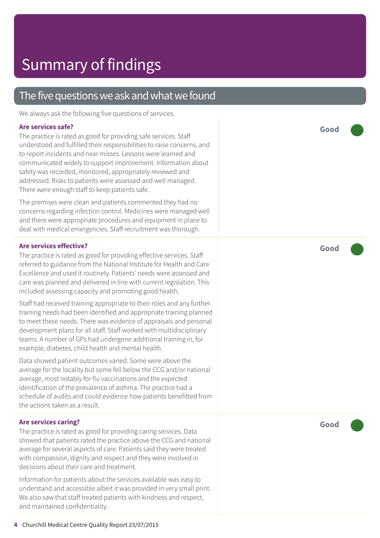### The five questions we ask and what we found

We always ask the following five questions of services.

#### **Are services safe?**

The practice is rated as good for providing safe services. Staff understood and fulfilled their responsibilities to raise concerns, and to report incidents and near misses. Lessons were learned and communicated widely to support improvement. Information about safety was recorded, monitored, appropriately reviewed and addressed. Risks to patients were assessed and well managed. There were enough staff to keep patients safe.

The premises were clean and patients commented they had no concerns regarding infection control. Medicines were managed well and there were appropriate procedures and equipment in place to deal with medical emergencies. Staff recruitment was thorough.

#### **Are services effective?**

The practice is rated as good for providing effective services. Staff referred to guidance from the National Institute for Health and Care Excellence and used it routinely. Patients' needs were assessed and care was planned and delivered in line with current legislation. This included assessing capacity and promoting good health.

Staff had received training appropriate to their roles and any further training needs had been identified and appropriate training planned to meet these needs. There was evidence of appraisals and personal development plans for all staff. Staff worked with multidisciplinary teams. A number of GPs had undergone additional training in, for example, diabetes, child health and mental health.

Data showed patient outcomes varied. Some were above the average for the locality but some fell below the CCG and/or national average, most notably for flu vaccinations and the expected identification of the prevalence of asthma. The practice had a schedule of audits and could evidence how patients benefitted from the actions taken as a result.

#### **Are services caring?**

The practice is rated as good for providing caring services. Data showed that patients rated the practice above the CCG and national average for several aspects of care. Patients said they were treated with compassion, dignity and respect and they were involved in decisions about their care and treatment.

Information for patients about the services available was easy to understand and accessible albeit it was provided in very small print. We also saw that staff treated patients with kindness and respect, and maintained confidentiality.

**Good –––**

**Good –––**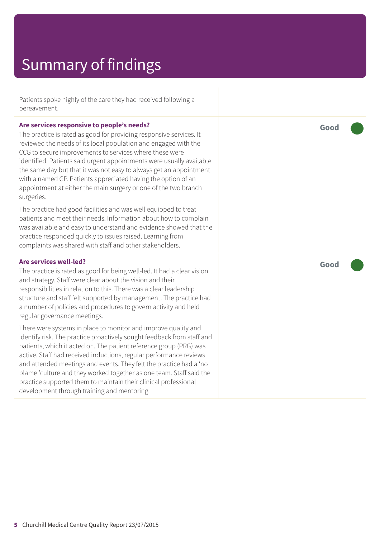Patients spoke highly of the care they had received following a bereavement.

#### **Are services responsive to people's needs?**

The practice is rated as good for providing responsive services. It reviewed the needs of its local population and engaged with the CCG to secure improvements to services where these were identified. Patients said urgent appointments were usually available the same day but that it was not easy to always get an appointment with a named GP. Patients appreciated having the option of an appointment at either the main surgery or one of the two branch surgeries.

The practice had good facilities and was well equipped to treat patients and meet their needs. Information about how to complain was available and easy to understand and evidence showed that the practice responded quickly to issues raised. Learning from complaints was shared with staff and other stakeholders.

#### **Are services well-led?**

The practice is rated as good for being well-led. It had a clear vision and strategy. Staff were clear about the vision and their responsibilities in relation to this. There was a clear leadership structure and staff felt supported by management. The practice had a number of policies and procedures to govern activity and held regular governance meetings.

There were systems in place to monitor and improve quality and identify risk. The practice proactively sought feedback from staff and patients, which it acted on. The patient reference group (PRG) was active. Staff had received inductions, regular performance reviews and attended meetings and events. They felt the practice had a 'no blame 'culture and they worked together as one team. Staff said the practice supported them to maintain their clinical professional development through training and mentoring.

**Good –––**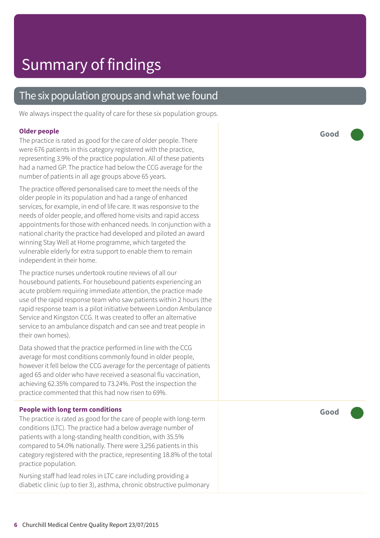### The six population groups and what we found

We always inspect the quality of care for these six population groups.

#### **Older people**

The practice is rated as good for the care of older people. There were 676 patients in this category registered with the practice, representing 3.9% of the practice population. All of these patients had a named GP. The practice had below the CCG average for the number of patients in all age groups above 65 years.

The practice offered personalised care to meet the needs of the older people in its population and had a range of enhanced services, for example, in end of life care. It was responsive to the needs of older people, and offered home visits and rapid access appointments for those with enhanced needs. In conjunction with a national charity the practice had developed and piloted an award winning Stay Well at Home programme, which targeted the vulnerable elderly for extra support to enable them to remain independent in their home.

The practice nurses undertook routine reviews of all our housebound patients. For housebound patients experiencing an acute problem requiring immediate attention, the practice made use of the rapid response team who saw patients within 2 hours (the rapid response team is a pilot initiative between London Ambulance Service and Kingston CCG. It was created to offer an alternative service to an ambulance dispatch and can see and treat people in their own homes).

Data showed that the practice performed in line with the CCG average for most conditions commonly found in older people, however it fell below the CCG average for the percentage of patients aged 65 and older who have received a seasonal flu vaccination, achieving 62.35% compared to 73.24%. Post the inspection the practice commented that this had now risen to 69%.

#### **People with long term conditions**

The practice is rated as good for the care of people with long-term conditions (LTC). The practice had a below average number of patients with a long-standing health condition, with 35.5% compared to 54.0% nationally. There were 3,256 patients in this category registered with the practice, representing 18.8% of the total practice population.

Nursing staff had lead roles in LTC care including providing a diabetic clinic (up to tier 3), asthma, chronic obstructive pulmonary **Good –––**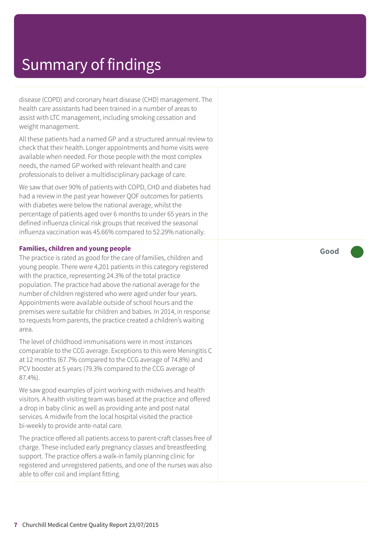disease (COPD) and coronary heart disease (CHD) management. The health care assistants had been trained in a number of areas to assist with LTC management, including smoking cessation and weight management.

All these patients had a named GP and a structured annual review to check that their health. Longer appointments and home visits were available when needed. For those people with the most complex needs, the named GP worked with relevant health and care professionals to deliver a multidisciplinary package of care.

We saw that over 90% of patients with COPD, CHD and diabetes had had a review in the past year however QOF outcomes for patients with diabetes were below the national average, whilst the percentage of patients aged over 6 months to under 65 years in the defined influenza clinical risk groups that received the seasonal influenza vaccination was 45.66% compared to 52.29% nationally.

#### **Families, children and young people**

The practice is rated as good for the care of families, children and young people. There were 4,201 patients in this category registered with the practice, representing 24.3% of the total practice population. The practice had above the national average for the number of children registered who were aged under four years. Appointments were available outside of school hours and the premises were suitable for children and babies. In 2014, in response to requests from parents, the practice created a children's waiting area.

The level of childhood immunisations were in most instances comparable to the CCG average. Exceptions to this were Meningitis C at 12 months (67.7% compared to the CCG average of 74.8%) and PCV booster at 5 years (79.3% compared to the CCG average of 87.4%).

We saw good examples of joint working with midwives and health visitors. A health visiting team was based at the practice and offered a drop in baby clinic as well as providing ante and post natal services. A midwife from the local hospital visited the practice bi-weekly to provide ante-natal care.

The practice offered all patients access to parent-craft classes free of charge. These included early pregnancy classes and breastfeeding support. The practice offers a walk-in family planning clinic for registered and unregistered patients, and one of the nurses was also able to offer coil and implant fitting.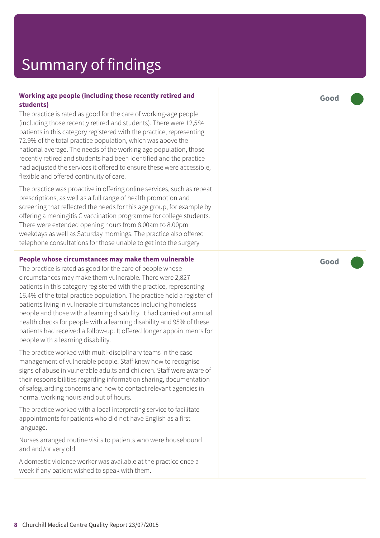#### **Working age people (including those recently retired and students)**

The practice is rated as good for the care of working-age people (including those recently retired and students). There were 12,584 patients in this category registered with the practice, representing 72.9% of the total practice population, which was above the national average. The needs of the working age population, those recently retired and students had been identified and the practice had adjusted the services it offered to ensure these were accessible, flexible and offered continuity of care.

The practice was proactive in offering online services, such as repeat prescriptions, as well as a full range of health promotion and screening that reflected the needs for this age group, for example by offering a meningitis C vaccination programme for college students. There were extended opening hours from 8.00am to 8.00pm weekdays as well as Saturday mornings. The practice also offered telephone consultations for those unable to get into the surgery

#### **People whose circumstances may make them vulnerable**

The practice is rated as good for the care of people whose circumstances may make them vulnerable. There were 2,827 patients in this category registered with the practice, representing 16.4% of the total practice population. The practice held a register of patients living in vulnerable circumstances including homeless people and those with a learning disability. It had carried out annual health checks for people with a learning disability and 95% of these patients had received a follow-up. It offered longer appointments for people with a learning disability.

The practice worked with multi-disciplinary teams in the case management of vulnerable people. Staff knew how to recognise signs of abuse in vulnerable adults and children. Staff were aware of their responsibilities regarding information sharing, documentation of safeguarding concerns and how to contact relevant agencies in normal working hours and out of hours.

The practice worked with a local interpreting service to facilitate appointments for patients who did not have English as a first language.

Nurses arranged routine visits to patients who were housebound and and/or very old.

A domestic violence worker was available at the practice once a week if any patient wished to speak with them.

**Good –––**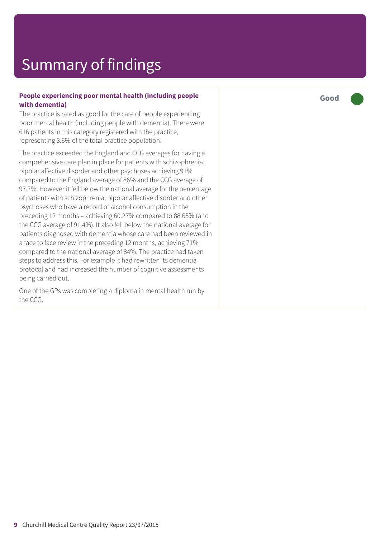#### **People experiencing poor mental health (including people with dementia)**

The practice is rated as good for the care of people experiencing poor mental health (including people with dementia). There were 616 patients in this category registered with the practice, representing 3.6% of the total practice population.

The practice exceeded the England and CCG averages for having a comprehensive care plan in place for patients with schizophrenia, bipolar affective disorder and other psychoses achieving 91% compared to the England average of 86% and the CCG average of 97.7%. However it fell below the national average for the percentage of patients with schizophrenia, bipolar affective disorder and other psychoses who have a record of alcohol consumption in the preceding 12 months – achieving 60.27% compared to 88.65% (and the CCG average of 91.4%). It also fell below the national average for patients diagnosed with dementia whose care had been reviewed in a face to face review in the preceding 12 months, achieving 71% compared to the national average of 84%. The practice had taken steps to address this. For example it had rewritten its dementia protocol and had increased the number of cognitive assessments being carried out.

One of the GPs was completing a diploma in mental health run by the CCG.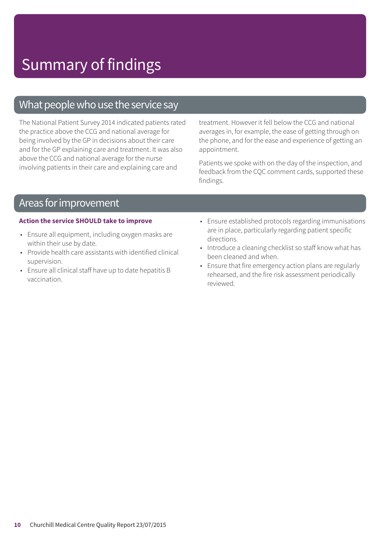### What people who use the service say

The National Patient Survey 2014 indicated patients rated the practice above the CCG and national average for being involved by the GP in decisions about their care and for the GP explaining care and treatment. It was also above the CCG and national average for the nurse involving patients in their care and explaining care and

treatment. However it fell below the CCG and national averages in, for example, the ease of getting through on the phone, and for the ease and experience of getting an appointment.

Patients we spoke with on the day of the inspection, and feedback from the CQC comment cards, supported these findings.

### Areas for improvement

#### **Action the service SHOULD take to improve**

- Ensure all equipment, including oxygen masks are within their use by date.
- Provide health care assistants with identified clinical supervision.
- Ensure all clinical staff have up to date hepatitis B vaccination.
- Ensure established protocols regarding immunisations are in place, particularly regarding patient specific directions.
- Introduce a cleaning checklist so staff know what has been cleaned and when.
- Ensure that fire emergency action plans are regularly rehearsed, and the fire risk assessment periodically reviewed.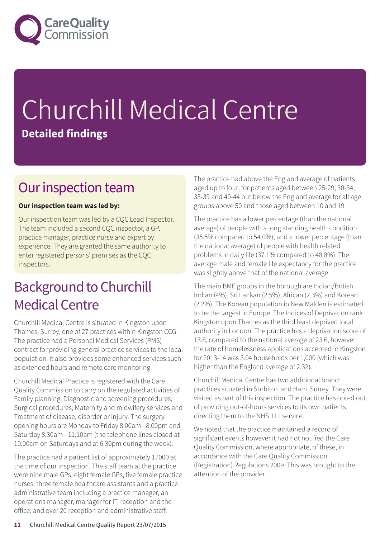

# Churchill Medical Centre **Detailed findings**

### Our inspection team

#### **Our inspection team was led by:**

Our inspection team was led by a CQC Lead Inspector. The team included a second CQC inspector, a GP, practice manager, practice nurse and expert by experience. They are granted the same authority to enter registered persons' premises as the CQC inspectors.

### **Background to Churchill Medical Centre**

Churchill Medical Centre is situated in Kingston upon Thames, Surrey, one of 27 practices within Kingston CCG. The practice had a Personal Medical Services (PMS) contract for providing general practice services to the local population. It also provides some enhanced services such as extended hours and remote care monitoring.

Churchill Medical Practice is registered with the Care Quality Commission to carry on the regulated activities of Family planning; Diagnostic and screening procedures; Surgical procedures; Maternity and midwifery services and Treatment of disease, disorder or injury. The surgery opening hours are Monday to Friday 8:00am - 8:00pm and Saturday 8:30am - 11:10am (the telephone lines closed at 10:00am on Saturdays and at 6.30pm during the week).

The practice had a patient list of approximately 17000 at the time of our inspection. The staff team at the practice were nine male GPs, eight female GPs, five female practice nurses, three female healthcare assistants and a practice administrative team including a practice manager, an operations manager, manager for IT, reception and the office, and over 20 reception and administrative staff.

The practice had above the England average of patients aged up to four; for patients aged between 25-29, 30-34, 35-39 and 40-44 but below the England average for all age groups above 50 and those aged between 10 and 19.

The practice has a lower percentage (than the national average) of people with a long standing health condition (35.5% compared to 54.0%); and a lower percentage (than the national average) of people with health related problems in daily life (37.1% compared to 48.8%). The average male and female life expectancy for the practice was slightly above that of the national average.

The main BME groups in the borough are Indian/British Indian (4%), Sri Lankan (2.5%), African (2.3%) and Korean (2.2%). The Korean population in New Malden is estimated to be the largest in Europe. The Indices of Deprivation rank Kingston upon Thames as the third least deprived local authority in London. The practice has a deprivation score of 13.8, compared to the national average of 23.6, however the rate of homelessness applications accepted in Kingston for 2013-14 was 3.04 households per 1,000 (which was higher than the England average of 2.32).

Churchill Medical Centre has two additional branch practices situated in Surbiton and Ham, Surrey. They were visited as part of this inspection. The practice has opted out of providing out-of-hours services to its own patients, directing them to the NHS 111 service.

We noted that the practice maintained a record of significant events however it had not notified the Care Quality Commission, where appropriate, of these, in accordance with the Care Quality Commission (Registration) Regulations 2009. This was brought to the attention of the provider.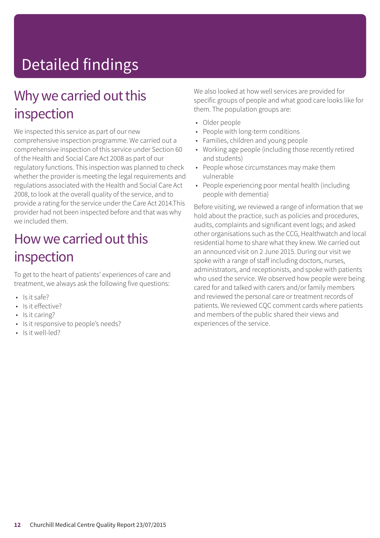# Detailed findings

### Why we carried out this inspection

We inspected this service as part of our new comprehensive inspection programme. We carried out a comprehensive inspection of this service under Section 60 of the Health and Social Care Act 2008 as part of our regulatory functions. This inspection was planned to check whether the provider is meeting the legal requirements and regulations associated with the Health and Social Care Act 2008, to look at the overall quality of the service, and to provide a rating for the service under the Care Act 2014.This provider had not been inspected before and that was why we included them.

### How we carried out this inspection

To get to the heart of patients' experiences of care and treatment, we always ask the following five questions:

- Is it safe?
- Is it effective?
- Is it caring?
- Is it responsive to people's needs?
- Is it well-led?

We also looked at how well services are provided for specific groups of people and what good care looks like for them. The population groups are:

- Older people
- People with long-term conditions
- Families, children and young people
- Working age people (including those recently retired and students)
- People whose circumstances may make them vulnerable
- People experiencing poor mental health (including people with dementia)

Before visiting, we reviewed a range of information that we hold about the practice, such as policies and procedures, audits, complaints and significant event logs; and asked other organisations such as the CCG, Healthwatch and local residential home to share what they knew. We carried out an announced visit on 2 June 2015. During our visit we spoke with a range of staff including doctors, nurses, administrators, and receptionists, and spoke with patients who used the service. We observed how people were being cared for and talked with carers and/or family members and reviewed the personal care or treatment records of patients. We reviewed CQC comment cards where patients and members of the public shared their views and experiences of the service.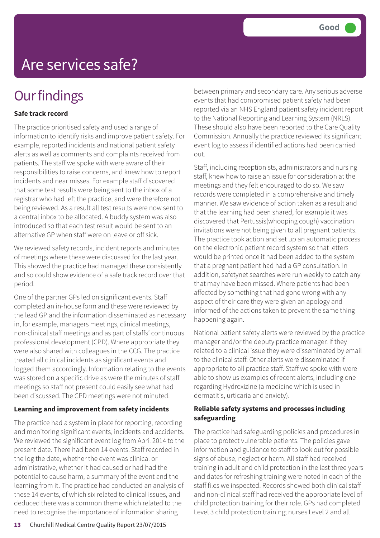### **Our findings**

#### **Safe track record**

The practice prioritised safety and used a range of information to identify risks and improve patient safety. For example, reported incidents and national patient safety alerts as well as comments and complaints received from patients. The staff we spoke with were aware of their responsibilities to raise concerns, and knew how to report incidents and near misses. For example staff discovered that some test results were being sent to the inbox of a registrar who had left the practice, and were therefore not being reviewed. As a result all test results were now sent to a central inbox to be allocated. A buddy system was also introduced so that each test result would be sent to an alternative GP when staff were on leave or off sick.

We reviewed safety records, incident reports and minutes of meetings where these were discussed for the last year. This showed the practice had managed these consistently and so could show evidence of a safe track record over that period.

One of the partner GPs led on significant events. Staff completed an in-house form and these were reviewed by the lead GP and the information disseminated as necessary in, for example, managers meetings, clinical meetings, non-clinical staff meetings and as part of staffs' continuous professional development (CPD). Where appropriate they were also shared with colleagues in the CCG. The practice treated all clinical incidents as significant events and logged them accordingly. Information relating to the events was stored on a specific drive as were the minutes of staff meetings so staff not present could easily see what had been discussed. The CPD meetings were not minuted.

#### **Learning and improvement from safety incidents**

The practice had a system in place for reporting, recording and monitoring significant events, incidents and accidents. We reviewed the significant event log from April 2014 to the present date. There had been 14 events. Staff recorded in the log the date, whether the event was clinical or administrative, whether it had caused or had had the potential to cause harm, a summary of the event and the learning from it. The practice had conducted an analysis of these 14 events, of which six related to clinical issues, and deduced there was a common theme which related to the need to recognise the importance of information sharing

between primary and secondary care. Any serious adverse events that had compromised patient safety had been reported via an NHS England patient safety incident report to the National Reporting and Learning System (NRLS). These should also have been reported to the Care Quality Commission. Annually the practice reviewed its significant event log to assess if identified actions had been carried out.

Staff, including receptionists, administrators and nursing staff, knew how to raise an issue for consideration at the meetings and they felt encouraged to do so. We saw records were completed in a comprehensive and timely manner. We saw evidence of action taken as a result and that the learning had been shared, for example it was discovered that Pertussis(whooping cough) vaccination invitations were not being given to all pregnant patients. The practice took action and set up an automatic process on the electronic patient record system so that letters would be printed once it had been added to the system that a pregnant patient had had a GP consultation. In addition, safetynet searches were run weekly to catch any that may have been missed. Where patients had been affected by something that had gone wrong with any aspect of their care they were given an apology and informed of the actions taken to prevent the same thing happening again.

National patient safety alerts were reviewed by the practice manager and/or the deputy practice manager. If they related to a clinical issue they were disseminated by email to the clinical staff. Other alerts were disseminated if appropriate to all practice staff. Staff we spoke with were able to show us examples of recent alerts, including one regarding Hydroxizine (a medicine which is used in dermatitis, urticaria and anxiety).

#### **Reliable safety systems and processes including safeguarding**

The practice had safeguarding policies and procedures in place to protect vulnerable patients. The policies gave information and guidance to staff to look out for possible signs of abuse, neglect or harm. All staff had received training in adult and child protection in the last three years and dates for refreshing training were noted in each of the staff files we inspected. Records showed both clinical staff and non-clinical staff had received the appropriate level of child protection training for their role. GPs had completed Level 3 child protection training; nurses Level 2 and all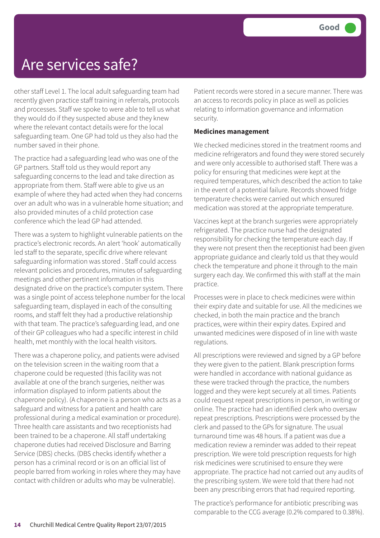other staff Level 1. The local adult safeguarding team had recently given practice staff training in referrals, protocols and processes. Staff we spoke to were able to tell us what they would do if they suspected abuse and they knew where the relevant contact details were for the local safeguarding team. One GP had told us they also had the number saved in their phone.

The practice had a safeguarding lead who was one of the GP partners. Staff told us they would report any safeguarding concerns to the lead and take direction as appropriate from them. Staff were able to give us an example of where they had acted when they had concerns over an adult who was in a vulnerable home situation; and also provided minutes of a child protection case conference which the lead GP had attended.

There was a system to highlight vulnerable patients on the practice's electronic records. An alert 'hook' automatically led staff to the separate, specific drive where relevant safeguarding information was stored . Staff could access relevant policies and procedures, minutes of safeguarding meetings and other pertinent information in this designated drive on the practice's computer system. There was a single point of access telephone number for the local safeguarding team, displayed in each of the consulting rooms, and staff felt they had a productive relationship with that team. The practice's safeguarding lead, and one of their GP colleagues who had a specific interest in child health, met monthly with the local health visitors.

There was a chaperone policy, and patients were advised on the television screen in the waiting room that a chaperone could be requested (this facility was not available at one of the branch surgeries, neither was information displayed to inform patients about the chaperone policy). (A chaperone is a person who acts as a safeguard and witness for a patient and health care professional during a medical examination or procedure). Three health care assistants and two receptionists had been trained to be a chaperone. All staff undertaking chaperone duties had received Disclosure and Barring Service (DBS) checks. (DBS checks identify whether a person has a criminal record or is on an official list of people barred from working in roles where they may have contact with children or adults who may be vulnerable).

Patient records were stored in a secure manner. There was an access to records policy in place as well as policies relating to information governance and information security.

#### **Medicines management**

We checked medicines stored in the treatment rooms and medicine refrigerators and found they were stored securely and were only accessible to authorised staff. There was a policy for ensuring that medicines were kept at the required temperatures, which described the action to take in the event of a potential failure. Records showed fridge temperature checks were carried out which ensured medication was stored at the appropriate temperature.

Vaccines kept at the branch surgeries were appropriately refrigerated. The practice nurse had the designated responsibility for checking the temperature each day. If they were not present then the receptionist had been given appropriate guidance and clearly told us that they would check the temperature and phone it through to the main surgery each day. We confirmed this with staff at the main practice.

Processes were in place to check medicines were within their expiry date and suitable for use. All the medicines we checked, in both the main practice and the branch practices, were within their expiry dates. Expired and unwanted medicines were disposed of in line with waste regulations.

All prescriptions were reviewed and signed by a GP before they were given to the patient. Blank prescription forms were handled in accordance with national guidance as these were tracked through the practice, the numbers logged and they were kept securely at all times. Patients could request repeat prescriptions in person, in writing or online. The practice had an identified clerk who oversaw repeat prescriptions. Prescriptions were processed by the clerk and passed to the GPs for signature. The usual turnaround time was 48 hours. If a patient was due a medication review a reminder was added to their repeat prescription. We were told prescription requests for high risk medicines were scrutinised to ensure they were appropriate. The practice had not carried out any audits of the prescribing system. We were told that there had not been any prescribing errors that had required reporting.

The practice's performance for antibiotic prescribing was comparable to the CCG average (0.2% compared to 0.38%).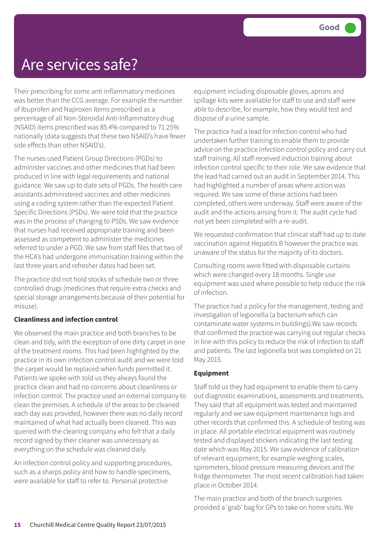Their prescribing for some anti inflammatory medicines was better than the CCG average. For example the number of Ibuprofen and Naproxen Items prescribed as a percentage of all Non-Steroidal Anti-Inflammatory drug (NSAID) items prescribed was 85.4% compared to 71.25% nationally (data suggests that these two NSAID's have fewer side effects than other NSAID's).

The nurses used Patient Group Directions (PGDs) to administer vaccines and other medicines that had been produced in line with legal requirements and national guidance. We saw up to date sets of PGDs. The health care assistants administered vaccines and other medicines using a coding system rather than the expected Patient Specific Directions (PSDs). We were told that the practice was in the process of changing to PSDs. We saw evidence that nurses had received appropriate training and been assessed as competent to administer the medicines referred to under a PGD. We saw from staff files that two of the HCA's had undergone immunisation training within the last three years and refresher dates had been set.

The practice did not hold stocks of schedule two or three controlled drugs (medicines that require extra checks and special storage arrangements because of their potential for misuse).

#### **Cleanliness and infection control**

We observed the main practice and both branches to be clean and tidy, with the exception of one dirty carpet in one of the treatment rooms. This had been highlighted by the practice in its own infection control audit and we were told the carpet would be replaced when funds permitted it. Patients we spoke with told us they always found the practice clean and had no concerns about cleanliness or infection control. The practice used an external company to clean the premises. A schedule of the areas to be cleaned each day was provided, however there was no daily record maintained of what had actually been cleaned. This was queried with the cleaning company who felt that a daily record signed by their cleaner was unnecessary as everything on the schedule was cleaned daily.

An infection control policy and supporting procedures, such as a sharps policy and how to handle specimens, were available for staff to refer to. Personal protective

equipment including disposable gloves, aprons and spillage kits were available for staff to use and staff were able to describe, for example, how they would test and dispose of a urine sample.

The practice had a lead for infection control who had undertaken further training to enable them to provide advice on the practice infection control policy and carry out staff training. All staff received induction training about infection control specific to their role. We saw evidence that the lead had carried out an audit in September 2014. This had highlighted a number of areas where action was required. We saw some of these actions had been completed, others were underway. Staff were aware of the audit and the actions arising from it. The audit cycle had not yet been completed with a re-audit.

We requested confirmation that clinical staff had up to date vaccination against Hepatitis B however the practice was unaware of the status for the majority of its doctors.

Consulting rooms were fitted with disposable curtains which were changed every 18 months. Single use equipment was used where possible to help reduce the risk of infection.

The practice had a policy for the management, testing and investigation of legionella (a bacterium which can contaminate water systems in buildings).We saw records that confirmed the practice was carrying out regular checks in line with this policy to reduce the risk of infection to staff and patients. The last legionella test was completed on 21 May 2015.

#### **Equipment**

Staff told us they had equipment to enable them to carry out diagnostic examinations, assessments and treatments. They said that all equipment was tested and maintained regularly and we saw equipment maintenance logs and other records that confirmed this. A schedule of testing was in place. All portable electrical equipment was routinely tested and displayed stickers indicating the last testing date which was May 2015. We saw evidence of calibration of relevant equipment; for example weighing scales, spirometers, blood pressure measuring devices and the fridge thermometer. The most recent calibration had taken place in October 2014.

The main practice and both of the branch surgeries provided a 'grab' bag for GPs to take on home visits. We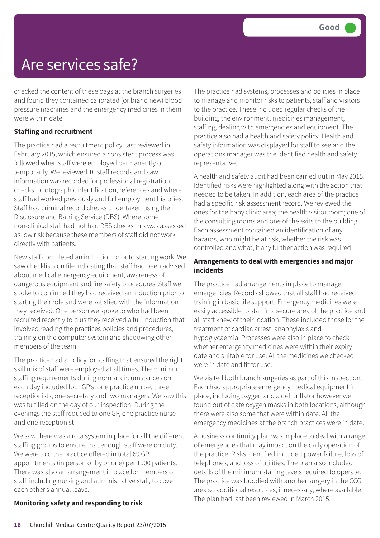checked the content of these bags at the branch surgeries and found they contained calibrated (or brand new) blood pressure machines and the emergency medicines in them were within date.

#### **Staffing and recruitment**

The practice had a recruitment policy, last reviewed in February 2015, which ensured a consistent process was followed when staff were employed permanently or temporarily. We reviewed 10 staff records and saw information was recorded for professional registration checks, photographic identification, references and where staff had worked previously and full employment histories. Staff had criminal record checks undertaken using the Disclosure and Barring Service (DBS). Where some non-clinical staff had not had DBS checks this was assessed as low risk because these members of staff did not work directly with patients.

New staff completed an induction prior to starting work. We saw checklists on file indicating that staff had been advised about medical emergency equipment, awareness of dangerous equipment and fire safety procedures. Staff we spoke to confirmed they had received an induction prior to starting their role and were satisfied with the information they received. One person we spoke to who had been recruited recently told us they received a full induction that involved reading the practices policies and procedures, training on the computer system and shadowing other members of the team.

The practice had a policy for staffing that ensured the right skill mix of staff were employed at all times. The minimum staffing requirements during normal circumstances on each day included four GP's, one practice nurse, three receptionists, one secretary and two managers. We saw this was fulfilled on the day of our inspection. During the evenings the staff reduced to one GP, one practice nurse and one receptionist.

We saw there was a rota system in place for all the different staffing groups to ensure that enough staff were on duty. We were told the practice offered in total 69 GP appointments (in person or by phone) per 1000 patients. There was also an arrangement in place for members of staff, including nursing and administrative staff, to cover each other's annual leave.

#### **Monitoring safety and responding to risk**

The practice had systems, processes and policies in place to manage and monitor risks to patients, staff and visitors to the practice. These included regular checks of the building, the environment, medicines management, staffing, dealing with emergencies and equipment. The practice also had a health and safety policy. Health and safety information was displayed for staff to see and the operations manager was the identified health and safety representative.

A health and safety audit had been carried out in May 2015. Identified risks were highlighted along with the action that needed to be taken. In addition, each area of the practice had a specific risk assessment record. We reviewed the ones for the baby clinic area; the health visitor room; one of the consulting rooms and one of the exits to the building. Each assessment contained an identification of any hazards, who might be at risk, whether the risk was controlled and what, if any further action was required.

#### **Arrangements to deal with emergencies and major incidents**

The practice had arrangements in place to manage emergencies. Records showed that all staff had received training in basic life support. Emergency medicines were easily accessible to staff in a secure area of the practice and all staff knew of their location. These included those for the treatment of cardiac arrest, anaphylaxis and hypoglycaemia. Processes were also in place to check whether emergency medicines were within their expiry date and suitable for use. All the medicines we checked were in date and fit for use.

We visited both branch surgeries as part of this inspection. Each had appropriate emergency medical equipment in place, including oxygen and a defibrillator however we found out of date oxygen masks in both locations, although there were also some that were within date. All the emergency medicines at the branch practices were in date.

A business continuity plan was in place to deal with a range of emergencies that may impact on the daily operation of the practice. Risks identified included power failure, loss of telephones, and loss of utilities. The plan also included details of the minimum staffing levels required to operate. The practice was buddied with another surgery in the CCG area so additional resources, if necessary, where available. The plan had last been reviewed in March 2015.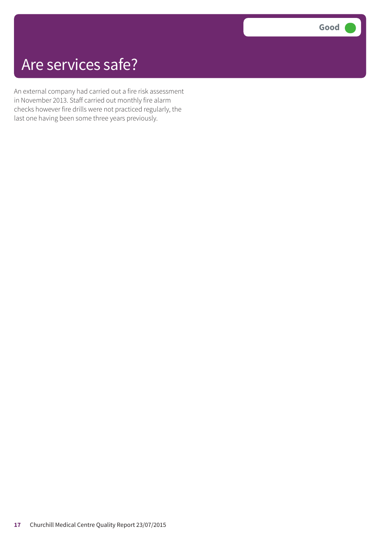An external company had carried out a fire risk assessment in November 2013. Staff carried out monthly fire alarm checks however fire drills were not practiced regularly, the last one having been some three years previously.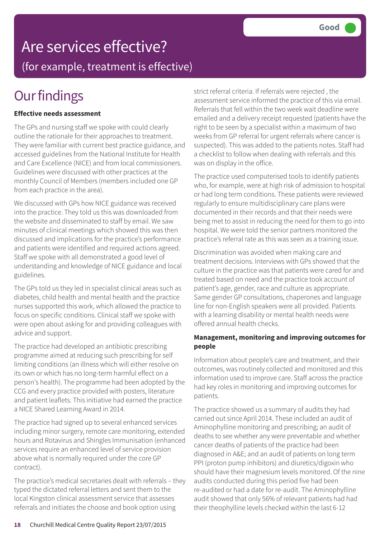# Are services effective?

(for example, treatment is effective)

# **Our findings**

#### **Effective needs assessment**

The GPs and nursing staff we spoke with could clearly outline the rationale for their approaches to treatment. They were familiar with current best practice guidance, and accessed guidelines from the National Institute for Health and Care Excellence (NICE) and from local commissioners. Guidelines were discussed with other practices at the monthly Council of Members (members included one GP from each practice in the area).

We discussed with GPs how NICE guidance was received into the practice. They told us this was downloaded from the website and disseminated to staff by email. We saw minutes of clinical meetings which showed this was then discussed and implications for the practice's performance and patients were identified and required actions agreed. Staff we spoke with all demonstrated a good level of understanding and knowledge of NICE guidance and local guidelines.

The GPs told us they led in specialist clinical areas such as diabetes, child health and mental health and the practice nurses supported this work, which allowed the practice to focus on specific conditions. Clinical staff we spoke with were open about asking for and providing colleagues with advice and support.

The practice had developed an antibiotic prescribing programme aimed at reducing such prescribing for self limiting conditions (an illness which will either resolve on its own or which has no long-term harmful effect on a person's health). The programme had been adopted by the CCG and every practice provided with posters, literature and patient leaflets. This initiative had earned the practice a NICE Shared Learning Award in 2014.

The practice had signed up to several enhanced services including minor surgery, remote care monitoring, extended hours and Rotavirus and Shingles Immunisation (enhanced services require an enhanced level of service provision above what is normally required under the core GP contract).

The practice's medical secretaries dealt with referrals – they typed the dictated referral letters and sent them to the local Kingston clinical assessment service that assesses referrals and initiates the choose and book option using

strict referral criteria. If referrals were rejected , the assessment service informed the practice of this via email. Referrals that fell within the two week wait deadline were emailed and a delivery receipt requested (patients have the right to be seen by a specialist within a maximum of two weeks from GP referral for urgent referrals where cancer is suspected). This was added to the patients notes. Staff had a checklist to follow when dealing with referrals and this was on display in the office.

The practice used computerised tools to identify patients who, for example, were at high risk of admission to hospital or had long term conditions. These patients were reviewed regularly to ensure multidisciplinary care plans were documented in their records and that their needs were being met to assist in reducing the need for them to go into hospital. We were told the senior partners monitored the practice's referral rate as this was seen as a training issue.

Discrimination was avoided when making care and treatment decisions. Interviews with GPs showed that the culture in the practice was that patients were cared for and treated based on need and the practice took account of patient's age, gender, race and culture as appropriate. Same gender GP consultations, chaperones and language line for non-English speakers were all provided. Patients with a learning disability or mental health needs were offered annual health checks.

#### **Management, monitoring and improving outcomes for people**

Information about people's care and treatment, and their outcomes, was routinely collected and monitored and this information used to improve care. Staff across the practice had key roles in monitoring and improving outcomes for patients.

The practice showed us a summary of audits they had carried out since April 2014. These included an audit of Aminophylline monitoring and prescribing; an audit of deaths to see whether any were preventable and whether cancer deaths of patients of the practice had been diagnosed in A&E; and an audit of patients on long term PPI (proton pump inhibitors) and diuretics/digoxin who should have their magnesium levels monitored. Of the nine audits conducted during this period five had been re-audited or had a date for re-audit. The Aminophylline audit showed that only 56% of relevant patients had had their theophylline levels checked within the last 6-12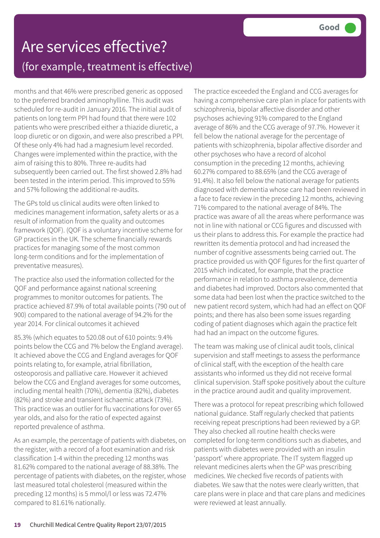months and that 46% were prescribed generic as opposed to the preferred branded aminophylline. This audit was scheduled for re-audit in January 2016. The initial audit of patients on long term PPI had found that there were 102 patients who were prescribed either a thiazide diuretic, a loop diuretic or on digoxin, and were also prescribed a PPI. Of these only 4% had had a magnesium level recorded. Changes were implemented within the practice, with the aim of raising this to 80%. Three re-audits had subsequently been carried out. The first showed 2.8% had been tested in the interim period. This improved to 55% and 57% following the additional re-audits.

The GPs told us clinical audits were often linked to medicines management information, safety alerts or as a result of information from the quality and outcomes framework (QOF). (QOF is a voluntary incentive scheme for GP practices in the UK. The scheme financially rewards practices for managing some of the most common long-term conditions and for the implementation of preventative measures).

The practice also used the information collected for the QOF and performance against national screening programmes to monitor outcomes for patients. The practice achieved 87.9% of total available points (790 out of 900) compared to the national average of 94.2% for the year 2014. For clinical outcomes it achieved

85.3% (which equates to 520.08 out of 610 points: 9.4% points below the CCG and 7% below the England average). It achieved above the CCG and England averages for QOF points relating to, for example, atrial fibrillation, osteoporosis and palliative care. However it achieved below the CCG and England averages for some outcomes, including mental health (70%), dementia (82%), diabetes (82%) and stroke and transient ischaemic attack (73%). This practice was an outlier for flu vaccinations for over 65 year olds, and also for the ratio of expected against reported prevalence of asthma.

As an example, the percentage of patients with diabetes, on the register, with a record of a foot examination and risk classification 1-4 within the preceding 12 months was 81.62% compared to the national average of 88.38%. The percentage of patients with diabetes, on the register, whose last measured total cholesterol (measured within the preceding 12 months) is 5 mmol/l or less was 72.47% compared to 81.61% nationally.

The practice exceeded the England and CCG averages for having a comprehensive care plan in place for patients with schizophrenia, bipolar affective disorder and other psychoses achieving 91% compared to the England average of 86% and the CCG average of 97.7%. However it fell below the national average for the percentage of patients with schizophrenia, bipolar affective disorder and other psychoses who have a record of alcohol consumption in the preceding 12 months, achieving 60.27% compared to 88.65% (and the CCG average of 91.4%). It also fell below the national average for patients diagnosed with dementia whose care had been reviewed in a face to face review in the preceding 12 months, achieving 71% compared to the national average of 84%. The practice was aware of all the areas where performance was not in line with national or CCG figures and discussed with us their plans to address this. For example the practice had rewritten its dementia protocol and had increased the number of cognitive assessments being carried out. The practice provided us with QOF figures for the first quarter of 2015 which indicated, for example, that the practice performance in relation to asthma prevalence, dementia and diabetes had improved. Doctors also commented that some data had been lost when the practice switched to the new patient record system, which had had an effect on QOF points; and there has also been some issues regarding coding of patient diagnoses which again the practice felt had had an impact on the outcome figures.

The team was making use of clinical audit tools, clinical supervision and staff meetings to assess the performance of clinical staff, with the exception of the health care assistants who informed us they did not receive formal clinical supervision. Staff spoke positively about the culture in the practice around audit and quality improvement.

There was a protocol for repeat prescribing which followed national guidance. Staff regularly checked that patients receiving repeat prescriptions had been reviewed by a GP. They also checked all routine health checks were completed for long-term conditions such as diabetes, and patients with diabetes were provided with an insulin 'passport' where appropriate. The IT system flagged up relevant medicines alerts when the GP was prescribing medicines. We checked five records of patients with diabetes. We saw that the notes were clearly written, that care plans were in place and that care plans and medicines were reviewed at least annually.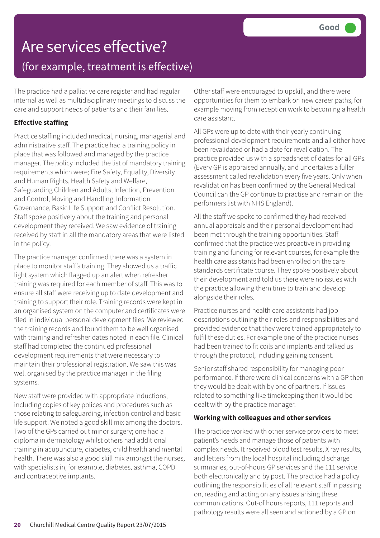The practice had a palliative care register and had regular internal as well as multidisciplinary meetings to discuss the care and support needs of patients and their families.

#### **Effective staffing**

Practice staffing included medical, nursing, managerial and administrative staff. The practice had a training policy in place that was followed and managed by the practice manager. The policy included the list of mandatory training requirements which were; Fire Safety, Equality, Diversity and Human Rights, Health Safety and Welfare, Safeguarding Children and Adults, Infection, Prevention and Control, Moving and Handling, Information Governance, Basic Life Support and Conflict Resolution. Staff spoke positively about the training and personal development they received. We saw evidence of training received by staff in all the mandatory areas that were listed in the policy.

The practice manager confirmed there was a system in place to monitor staff's training. They showed us a traffic light system which flagged up an alert when refresher training was required for each member of staff. This was to ensure all staff were receiving up to date development and training to support their role. Training records were kept in an organised system on the computer and certificates were filed in individual personal development files. We reviewed the training records and found them to be well organised with training and refresher dates noted in each file. Clinical staff had completed the continued professional development requirements that were necessary to maintain their professional registration. We saw this was well organised by the practice manager in the filing systems.

New staff were provided with appropriate inductions, including copies of key polices and procedures such as those relating to safeguarding, infection control and basic life support. We noted a good skill mix among the doctors. Two of the GPs carried out minor surgery; one had a diploma in dermatology whilst others had additional training in acupuncture, diabetes, child health and mental health. There was also a good skill mix amongst the nurses, with specialists in, for example, diabetes, asthma, COPD and contraceptive implants.

Other staff were encouraged to upskill, and there were opportunities for them to embark on new career paths, for example moving from reception work to becoming a health care assistant.

All GPs were up to date with their yearly continuing professional development requirements and all either have been revalidated or had a date for revalidation. The practice provided us with a spreadsheet of dates for all GPs. (Every GP is appraised annually, and undertakes a fuller assessment called revalidation every five years. Only when revalidation has been confirmed by the General Medical Council can the GP continue to practise and remain on the performers list with NHS England).

All the staff we spoke to confirmed they had received annual appraisals and their personal development had been met through the training opportunities. Staff confirmed that the practice was proactive in providing training and funding for relevant courses, for example the health care assistants had been enrolled on the care standards certificate course. They spoke positively about their development and told us there were no issues with the practice allowing them time to train and develop alongside their roles.

Practice nurses and health care assistants had job descriptions outlining their roles and responsibilities and provided evidence that they were trained appropriately to fulfil these duties. For example one of the practice nurses had been trained to fit coils and implants and talked us through the protocol, including gaining consent.

Senior staff shared responsibility for managing poor performance. If there were clinical concerns with a GP then they would be dealt with by one of partners. If issues related to something like timekeeping then it would be dealt with by the practice manager.

#### **Working with colleagues and other services**

The practice worked with other service providers to meet patient's needs and manage those of patients with complex needs. It received blood test results, X ray results, and letters from the local hospital including discharge summaries, out-of-hours GP services and the 111 service both electronically and by post. The practice had a policy outlining the responsibilities of all relevant staff in passing on, reading and acting on any issues arising these communications. Out-of hours reports, 111 reports and pathology results were all seen and actioned by a GP on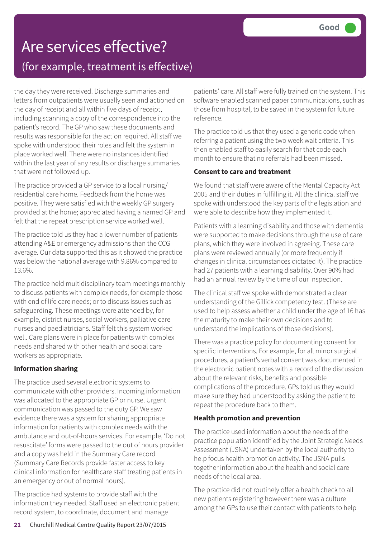the day they were received. Discharge summaries and letters from outpatients were usually seen and actioned on the day of receipt and all within five days of receipt, including scanning a copy of the correspondence into the patient's record. The GP who saw these documents and results was responsible for the action required. All staff we spoke with understood their roles and felt the system in place worked well. There were no instances identified within the last year of any results or discharge summaries that were not followed up.

The practice provided a GP service to a local nursing/ residential care home. Feedback from the home was positive. They were satisfied with the weekly GP surgery provided at the home; appreciated having a named GP and felt that the repeat prescription service worked well.

The practice told us they had a lower number of patients attending A&E or emergency admissions than the CCG average. Our data supported this as it showed the practice was below the national average with 9.86% compared to 13.6%.

The practice held multidisciplinary team meetings monthly to discuss patients with complex needs, for example those with end of life care needs; or to discuss issues such as safeguarding. These meetings were attended by, for example, district nurses, social workers, palliative care nurses and paediatricians. Staff felt this system worked well. Care plans were in place for patients with complex needs and shared with other health and social care workers as appropriate.

#### **Information sharing**

The practice used several electronic systems to communicate with other providers. Incoming information was allocated to the appropriate GP or nurse. Urgent communication was passed to the duty GP. We saw evidence there was a system for sharing appropriate information for patients with complex needs with the ambulance and out-of-hours services. For example, 'Do not resuscitate' forms were passed to the out of hours provider and a copy was held in the Summary Care record (Summary Care Records provide faster access to key clinical information for healthcare staff treating patients in an emergency or out of normal hours).

The practice had systems to provide staff with the information they needed. Staff used an electronic patient record system, to coordinate, document and manage

patients' care. All staff were fully trained on the system. This software enabled scanned paper communications, such as those from hospital, to be saved in the system for future reference.

The practice told us that they used a generic code when referring a patient using the two week wait criteria. This then enabled staff to easily search for that code each month to ensure that no referrals had been missed.

#### **Consent to care and treatment**

We found that staff were aware of the Mental Capacity Act 2005 and their duties in fulfilling it. All the clinical staff we spoke with understood the key parts of the legislation and were able to describe how they implemented it.

Patients with a learning disability and those with dementia were supported to make decisions through the use of care plans, which they were involved in agreeing. These care plans were reviewed annually (or more frequently if changes in clinical circumstances dictated it). The practice had 27 patients with a learning disability. Over 90% had had an annual review by the time of our inspection.

The clinical staff we spoke with demonstrated a clear understanding of the Gillick competency test. (These are used to help assess whether a child under the age of 16 has the maturity to make their own decisions and to understand the implications of those decisions).

There was a practice policy for documenting consent for specific interventions. For example, for all minor surgical procedures, a patient's verbal consent was documented in the electronic patient notes with a record of the discussion about the relevant risks, benefits and possible complications of the procedure. GPs told us they would make sure they had understood by asking the patient to repeat the procedure back to them.

#### **Health promotion and prevention**

The practice used information about the needs of the practice population identified by the Joint Strategic Needs Assessment (JSNA) undertaken by the local authority to help focus health promotion activity. The JSNA pulls together information about the health and social care needs of the local area.

The practice did not routinely offer a health check to all new patients registering however there was a culture among the GPs to use their contact with patients to help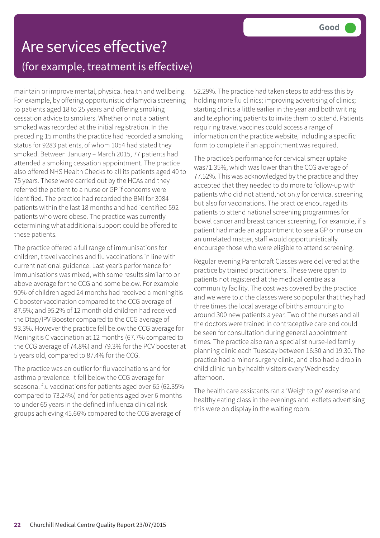maintain or improve mental, physical health and wellbeing. For example, by offering opportunistic chlamydia screening to patients aged 18 to 25 years and offering smoking cessation advice to smokers. Whether or not a patient smoked was recorded at the initial registration. In the preceding 15 months the practice had recorded a smoking status for 9283 patients, of whom 1054 had stated they smoked. Between January – March 2015, 77 patients had attended a smoking cessation appointment. The practice also offered NHS Health Checks to all its patients aged 40 to 75 years. These were carried out by the HCAs and they referred the patient to a nurse or GP if concerns were identified. The practice had recorded the BMI for 3084 patients within the last 18 months and had identified 592 patients who were obese. The practice was currently determining what additional support could be offered to these patients.

The practice offered a full range of immunisations for children, travel vaccines and flu vaccinations in line with current national guidance. Last year's performance for immunisations was mixed, with some results similar to or above average for the CCG and some below. For example 90% of children aged 24 months had received a meningitis C booster vaccination compared to the CCG average of 87.6%; and 95.2% of 12 month old children had received the Dtap/IPV Booster compared to the CCG average of 93.3%. However the practice fell below the CCG average for Meningitis C vaccination at 12 months (67.7% compared to the CCG average of 74.8%) and 79.3% for the PCV booster at 5 years old, compared to 87.4% for the CCG.

The practice was an outlier for flu vaccinations and for asthma prevalence. It fell below the CCG average for seasonal flu vaccinations for patients aged over 65 (62.35% compared to 73.24%) and for patients aged over 6 months to under 65 years in the defined influenza clinical risk groups achieving 45.66% compared to the CCG average of

52.29%. The practice had taken steps to address this by holding more flu clinics; improving advertising of clinics; starting clinics a little earlier in the year and both writing and telephoning patients to invite them to attend. Patients requiring travel vaccines could access a range of information on the practice website, including a specific form to complete if an appointment was required.

The practice's performance for cervical smear uptake was71.35%, which was lower than the CCG average of 77.52%. This was acknowledged by the practice and they accepted that they needed to do more to follow-up with patients who did not attend,not only for cervical screening but also for vaccinations. The practice encouraged its patients to attend national screening programmes for bowel cancer and breast cancer screening. For example, if a patient had made an appointment to see a GP or nurse on an unrelated matter, staff would opportunistically encourage those who were eligible to attend screening.

Regular evening Parentcraft Classes were delivered at the practice by trained practitioners. These were open to patients not registered at the medical centre as a community facility. The cost was covered by the practice and we were told the classes were so popular that they had three times the local average of births amounting to around 300 new patients a year. Two of the nurses and all the doctors were trained in contraceptive care and could be seen for consultation during general appointment times. The practice also ran a specialist nurse-led family planning clinic each Tuesday between 16:30 and 19:30. The practice had a minor surgery clinic, and also had a drop in child clinic run by health visitors every Wednesday afternoon.

The health care assistants ran a 'Weigh to go' exercise and healthy eating class in the evenings and leaflets advertising this were on display in the waiting room.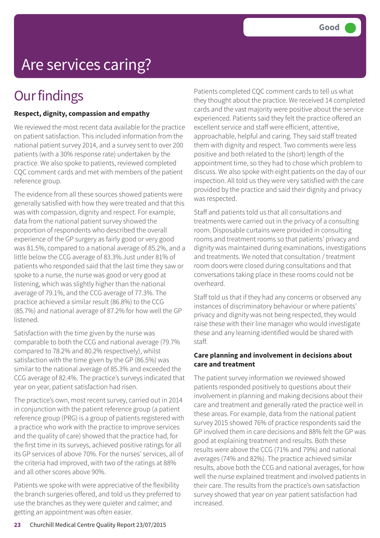# Are services caring?

### **Our findings**

#### **Respect, dignity, compassion and empathy**

We reviewed the most recent data available for the practice on patient satisfaction. This included information from the national patient survey 2014, and a survey sent to over 200 patients (with a 30% response rate) undertaken by the practice. We also spoke to patients, reviewed completed CQC comment cards and met with members of the patient reference group.

The evidence from all these sources showed patients were generally satisfied with how they were treated and that this was with compassion, dignity and respect. For example, data from the national patient survey showed the proportion of respondents who described the overall experience of the GP surgery as fairly good or very good was 81.5%, compared to a national average of 85.2%, and a little below the CCG average of 83.3%.Just under 81% of patients who responded said that the last time they saw or spoke to a nurse, the nurse was good or very good at listening, which was slightly higher than the national average of 79.1%, and the CCG average of 77.3%. The practice achieved a similar result (86.8%) to the CCG (85.7%) and national average of 87.2% for how well the GP listened.

Satisfaction with the time given by the nurse was comparable to both the CCG and national average (79.7% compared to 78.2% and 80.2% respectively), whilst satisfaction with the time given by the GP (86.5%) was similar to the national average of 85.3% and exceeded the CCG average of 82.4%. The practice's surveys indicated that year on year, patient satisfaction had risen.

The practice's own, most recent survey, carried out in 2014 in conjunction with the patient reference group (a patient reference group (PRG) is a group of patients registered with a practice who work with the practice to improve services and the quality of care) showed that the practice had, for the first time in its surveys, achieved positive ratings for all its GP services of above 70%. For the nurses' services, all of the criteria had improved, with two of the ratings at 88% and all other scores above 90%.

Patients we spoke with were appreciative of the flexibility the branch surgeries offered, and told us they preferred to use the branches as they were quieter and calmer; and getting an appointment was often easier.

Patients completed CQC comment cards to tell us what they thought about the practice. We received 14 completed cards and the vast majority were positive about the service experienced. Patients said they felt the practice offered an excellent service and staff were efficient, attentive, approachable, helpful and caring. They said staff treated them with dignity and respect. Two comments were less positive and both related to the (short) length of the appointment time, so they had to chose which problem to discuss. We also spoke with eight patients on the day of our inspection. All told us they were very satisfied with the care provided by the practice and said their dignity and privacy was respected.

Staff and patients told us that all consultations and treatments were carried out in the privacy of a consulting room. Disposable curtains were provided in consulting rooms and treatment rooms so that patients' privacy and dignity was maintained during examinations, investigations and treatments. We noted that consultation / treatment room doors were closed during consultations and that conversations taking place in these rooms could not be overheard.

Staff told us that if they had any concerns or observed any instances of discriminatory behaviour or where patients' privacy and dignity was not being respected, they would raise these with their line manager who would investigate these and any learning identified would be shared with staff.

#### **Care planning and involvement in decisions about care and treatment**

The patient survey information we reviewed showed patients responded positively to questions about their involvement in planning and making decisions about their care and treatment and generally rated the practice well in these areas. For example, data from the national patient survey 2015 showed 76% of practice respondents said the GP involved them in care decisions and 88% felt the GP was good at explaining treatment and results. Both these results were above the CCG (71% and 79%) and national averages (74% and 82%). The practice achieved similar results, above both the CCG and national averages, for how well the nurse explained treatment and involved patients in their care. The results from the practice's own satisfaction survey showed that year on year patient satisfaction had increased.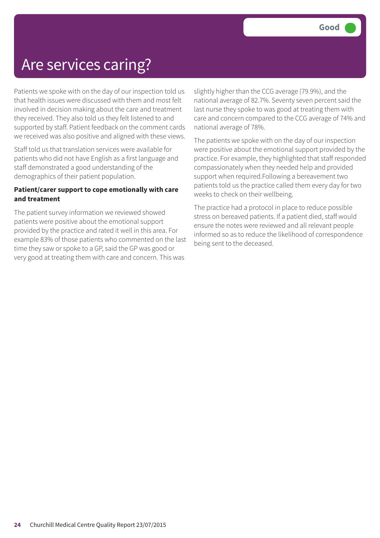### Are services caring?

Patients we spoke with on the day of our inspection told us that health issues were discussed with them and most felt involved in decision making about the care and treatment they received. They also told us they felt listened to and supported by staff. Patient feedback on the comment cards we received was also positive and aligned with these views.

Staff told us that translation services were available for patients who did not have English as a first language and staff demonstrated a good understanding of the demographics of their patient population.

#### **Patient/carer support to cope emotionally with care and treatment**

The patient survey information we reviewed showed patients were positive about the emotional support provided by the practice and rated it well in this area. For example 83% of those patients who commented on the last time they saw or spoke to a GP, said the GP was good or very good at treating them with care and concern. This was

slightly higher than the CCG average (79.9%), and the national average of 82.7%. Seventy seven percent said the last nurse they spoke to was good at treating them with care and concern compared to the CCG average of 74% and national average of 78%.

The patients we spoke with on the day of our inspection were positive about the emotional support provided by the practice. For example, they highlighted that staff responded compassionately when they needed help and provided support when required.Following a bereavement two patients told us the practice called them every day for two weeks to check on their wellbeing.

The practice had a protocol in place to reduce possible stress on bereaved patients. If a patient died, staff would ensure the notes were reviewed and all relevant people informed so as to reduce the likelihood of correspondence being sent to the deceased.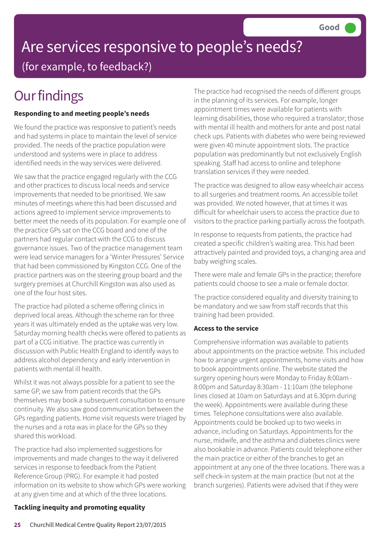# Are services responsive to people's needs? (for example, to feedback?)

# **Our findings**

#### **Responding to and meeting people's needs**

We found the practice was responsive to patient's needs and had systems in place to maintain the level of service provided. The needs of the practice population were understood and systems were in place to address identified needs in the way services were delivered.

We saw that the practice engaged regularly with the CCG and other practices to discuss local needs and service improvements that needed to be prioritised. We saw minutes of meetings where this had been discussed and actions agreed to implement service improvements to better meet the needs of its population. For example one of the practice GPs sat on the CCG board and one of the partners had regular contact with the CCG to discuss governance issues. Two of the practice management team were lead service managers for a 'Winter Pressures' Service that had been commissioned by Kingston CCG. One of the practice partners was on the steering group board and the surgery premises at Churchill Kingston was also used as one of the four host sites.

The practice had piloted a scheme offering clinics in deprived local areas. Although the scheme ran for three years it was ultimately ended as the uptake was very low. Saturday morning health checks were offered to patients as part of a CCG initiative. The practice was currently in discussion with Public Health England to identify ways to address alcohol dependency and early intervention in patients with mental ill health.

Whilst it was not always possible for a patient to see the same GP, we saw from patient records that the GPs themselves may book a subsequent consultation to ensure continuity. We also saw good communication between the GPs regarding patients. Home visit requests were triaged by the nurses and a rota was in place for the GPs so they shared this workload.

The practice had also implemented suggestions for improvements and made changes to the way it delivered services in response to feedback from the Patient Reference Group (PRG). For example it had posted information on its website to show which GPs were working at any given time and at which of the three locations.

The practice had recognised the needs of different groups in the planning of its services. For example, longer appointment times were available for patients with learning disabilities, those who required a translator; those with mental ill health and mothers for ante and post natal check ups. Patients with diabetes who were being reviewed were given 40 minute appointment slots. The practice population was predominantly but not exclusively English speaking. Staff had access to online and telephone translation services if they were needed.

The practice was designed to allow easy wheelchair access to all surgeries and treatment rooms. An accessible toilet was provided. We noted however, that at times it was difficult for wheelchair users to access the practice due to visitors to the practice parking partially across the footpath.

In response to requests from patients, the practice had created a specific children's waiting area. This had been attractively painted and provided toys, a changing area and baby weighing scales.

There were male and female GPs in the practice; therefore patients could choose to see a male or female doctor.

The practice considered equality and diversity training to be mandatory and we saw from staff records that this training had been provided.

#### **Access to the service**

Comprehensive information was available to patients about appointments on the practice website. This included how to arrange urgent appointments, home visits and how to book appointments online. The website stated the surgery opening hours were Monday to Friday 8:00am - 8:00pm and Saturday 8:30am - 11:10am (the telephone lines closed at 10am on Saturdays and at 6.30pm during the week). Appointments were available during these times. Telephone consultations were also available. Appointments could be booked up to two weeks in advance, including on Saturdays. Appointments for the nurse, midwife, and the asthma and diabetes clinics were also bookable in advance. Patients could telephone either the main practice or either of the branches to get an appointment at any one of the three locations. There was a self check-in system at the main practice (but not at the branch surgeries). Patients were advised that if they were

### **Tackling inequity and promoting equality**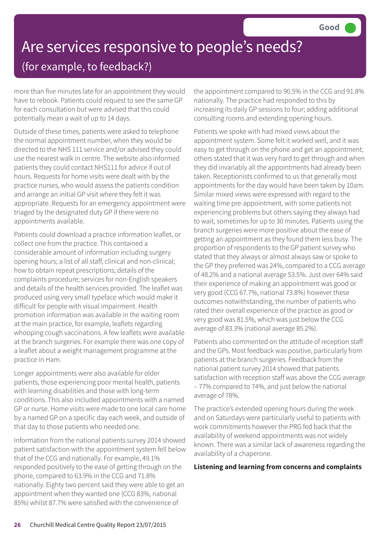# Are services responsive to people's needs? (for example, to feedback?)

more than five minutes late for an appointment they would have to rebook. Patients could request to see the same GP for each consultation but were advised that this could potentially mean a wait of up to 14 days.

Outside of these times, patients were asked to telephone the normal appointment number, when they would be directed to the NHS 111 service and/or advised they could use the nearest walk in centre. The website also informed patients they could contact NHS111 for advice if out of hours. Requests for home visits were dealt with by the practice nurses, who would assess the patients condition and arrange an initial GP visit where they felt it was appropriate. Requests for an emergency appointment were triaged by the designated duty GP if there were no appointments available.

Patients could download a practice information leaflet, or collect one from the practice. This contained a considerable amount of information including surgery opening hours; a list of all staff, clinical and non-clinical; how to obtain repeat prescriptions; details of the complaints procedure; services for non-English speakers and details of the health services provided. The leaflet was produced using very small typeface which would make it difficult for people with visual impairment. Health promotion information was available in the waiting room at the main practice, for example, leaflets regarding whooping cough vaccinations. A few leaflets were available at the branch surgeries. For example there was one copy of a leaflet about a weight management programme at the practice in Ham.

Longer appointments were also available for older patients, those experiencing poor mental health, patients with learning disabilities and those with long-term conditions. This also included appointments with a named GP or nurse. Home visits were made to one local care home by a named GP on a specific day each week, and outside of that day to those patients who needed one.

Information from the national patients survey 2014 showed patient satisfaction with the appointment system fell below that of the CCG and nationally. For example, 49.1% responded positively to the ease of getting through on the phone, compared to 63.9% in the CCG and 71.8% nationally. Eighty two percent said they were able to get an appointment when they wanted one (CCG 83%, national 85%) whilst 87.7% were satisfied with the convenience of

the appointment compared to 90.5% in the CCG and 91.8% nationally. The practice had responded to this by increasing its daily GP sessions to four; adding additional consulting rooms and extending opening hours.

Patients we spoke with had mixed views about the appointment system. Some felt it worked well, and it was easy to get through on the phone and get an appointment; others stated that it was very hard to get through and when they did invariably all the appointments had already been taken. Receptionists confirmed to us that generally most appointments for the day would have been taken by 10am. Similar mixed views were expressed with regard to the waiting time pre-appointment, with some patients not experiencing problems but others saying they always had to wait, sometimes for up to 30 minutes. Patients using the branch surgeries were more positive about the ease of getting an appointment as they found them less busy. The proportion of respondents to the GP patient survey who stated that they always or almost always saw or spoke to the GP they preferred was 24%, compared to a CCG average of 48.2% and a national average 53.5%. Just over 64% said their experience of making an appointment was good or very good (CCG 67.7%, national 73.8%) however these outcomes notwithstanding, the number of patients who rated their overall experience of the practice as good or very good was 81.5%, which was just below the CCG average of 83.3% (national average 85.2%).

Patients also commented on the attitude of reception staff and the GPs. Most feedback was positive, particularly from patients at the branch surgeries. Feedback from the national patient survey 2014 showed that patients satisfaction with reception staff was above the CCG average – 77% compared to 74%, and just below the national average of 78%.

The practice's extended opening hours during the week and on Saturdays were particularly useful to patients with work commitments however the PRG fed back that the availability of weekend appointments was not widely known. There was a similar lack of awareness regarding the availability of a chaperone.

#### **Listening and learning from concerns and complaints**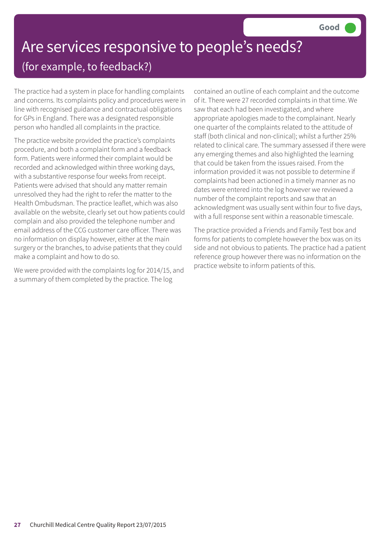### Are services responsive to people's needs? (for example, to feedback?)

The practice had a system in place for handling complaints and concerns. Its complaints policy and procedures were in line with recognised guidance and contractual obligations for GPs in England. There was a designated responsible person who handled all complaints in the practice.

The practice website provided the practice's complaints procedure, and both a complaint form and a feedback form. Patients were informed their complaint would be recorded and acknowledged within three working days, with a substantive response four weeks from receipt. Patients were advised that should any matter remain unresolved they had the right to refer the matter to the Health Ombudsman. The practice leaflet, which was also available on the website, clearly set out how patients could complain and also provided the telephone number and email address of the CCG customer care officer. There was no information on display however, either at the main surgery or the branches, to advise patients that they could make a complaint and how to do so.

We were provided with the complaints log for 2014/15, and a summary of them completed by the practice. The log

contained an outline of each complaint and the outcome of it. There were 27 recorded complaints in that time. We saw that each had been investigated, and where appropriate apologies made to the complainant. Nearly one quarter of the complaints related to the attitude of staff (both clinical and non-clinical); whilst a further 25% related to clinical care. The summary assessed if there were any emerging themes and also highlighted the learning that could be taken from the issues raised. From the information provided it was not possible to determine if complaints had been actioned in a timely manner as no dates were entered into the log however we reviewed a number of the complaint reports and saw that an acknowledgment was usually sent within four to five days, with a full response sent within a reasonable timescale.

The practice provided a Friends and Family Test box and forms for patients to complete however the box was on its side and not obvious to patients. The practice had a patient reference group however there was no information on the practice website to inform patients of this.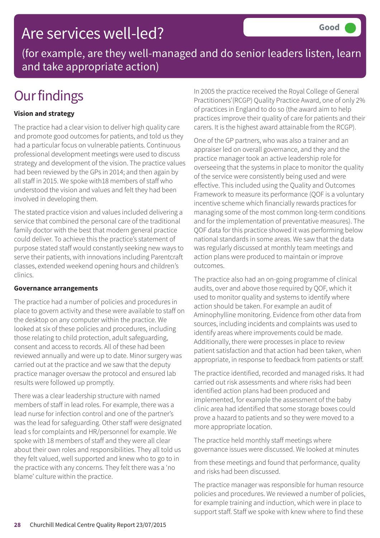### Are services well-led?

(for example, are they well-managed and do senior leaders listen, learn and take appropriate action)

# **Our findings**

#### **Vision and strategy**

The practice had a clear vision to deliver high quality care and promote good outcomes for patients, and told us they had a particular focus on vulnerable patients. Continuous professional development meetings were used to discuss strategy and development of the vision. The practice values had been reviewed by the GPs in 2014; and then again by all staff in 2015. We spoke with18 members of staff who understood the vision and values and felt they had been involved in developing them.

The stated practice vision and values included delivering a service that combined the personal care of the traditional family doctor with the best that modern general practice could deliver. To achieve this the practice's statement of purpose stated staff would constantly seeking new ways to serve their patients, with innovations including Parentcraft classes, extended weekend opening hours and children's clinics.

#### **Governance arrangements**

The practice had a number of policies and procedures in place to govern activity and these were available to staff on the desktop on any computer within the practice. We looked at six of these policies and procedures, including those relating to child protection, adult safeguarding, consent and access to records. All of these had been reviewed annually and were up to date. Minor surgery was carried out at the practice and we saw that the deputy practice manager oversaw the protocol and ensured lab results were followed up promptly.

There was a clear leadership structure with named members of staff in lead roles. For example, there was a lead nurse for infection control and one of the partner's was the lead for safeguarding. Other staff were designated lead s for complaints and HR/personnel for example. We spoke with 18 members of staff and they were all clear about their own roles and responsibilities. They all told us they felt valued, well supported and knew who to go to in the practice with any concerns. They felt there was a 'no blame' culture within the practice.

In 2005 the practice received the Royal College of General Practitioners'(RCGP) Quality Practice Award, one of only 2% of practices in England to do so (the award aim to help practices improve their quality of care for patients and their carers. It is the highest award attainable from the RCGP).

One of the GP partners, who was also a trainer and an appraiser led on overall governance, and they and the practice manager took an active leadership role for overseeing that the systems in place to monitor the quality of the service were consistently being used and were effective. This included using the Quality and Outcomes Framework to measure its performance (QOF is a voluntary incentive scheme which financially rewards practices for managing some of the most common long-term conditions and for the implementation of preventative measures). The QOF data for this practice showed it was performing below national standards in some areas. We saw that the data was regularly discussed at monthly team meetings and action plans were produced to maintain or improve outcomes.

The practice also had an on-going programme of clinical audits, over and above those required by QOF, which it used to monitor quality and systems to identify where action should be taken. For example an audit of Aminophylline monitoring. Evidence from other data from sources, including incidents and complaints was used to identify areas where improvements could be made. Additionally, there were processes in place to review patient satisfaction and that action had been taken, when appropriate, in response to feedback from patients or staff.

The practice identified, recorded and managed risks. It had carried out risk assessments and where risks had been identified action plans had been produced and implemented, for example the assessment of the baby clinic area had identified that some storage boxes could prove a hazard to patients and so they were moved to a more appropriate location.

The practice held monthly staff meetings where governance issues were discussed. We looked at minutes

from these meetings and found that performance, quality and risks had been discussed.

The practice manager was responsible for human resource policies and procedures. We reviewed a number of policies, for example training and induction, which were in place to support staff. Staff we spoke with knew where to find these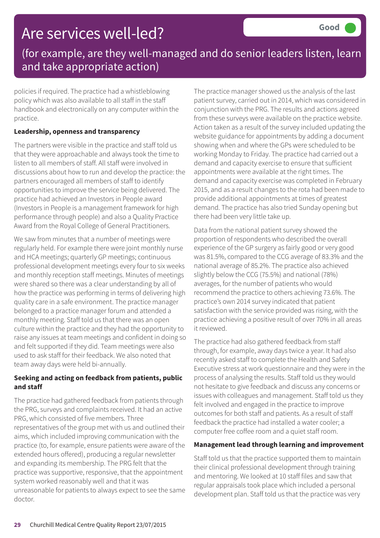### Are services well-led?

### (for example, are they well-managed and do senior leaders listen, learn and take appropriate action)

policies if required. The practice had a whistleblowing policy which was also available to all staff in the staff handbook and electronically on any computer within the practice.

#### **Leadership, openness and transparency**

The partners were visible in the practice and staff told us that they were approachable and always took the time to listen to all members of staff. All staff were involved in discussions about how to run and develop the practice: the partners encouraged all members of staff to identify opportunities to improve the service being delivered. The practice had achieved an Investors in People award (Investors in People is a management framework for high performance through people) and also a Quality Practice Award from the Royal College of General Practitioners.

We saw from minutes that a number of meetings were regularly held. For example there were joint monthly nurse and HCA meetings; quarterly GP meetings; continuous professional development meetings every four to six weeks and monthly reception staff meetings. Minutes of meetings were shared so there was a clear understanding by all of how the practice was performing in terms of delivering high quality care in a safe environment. The practice manager belonged to a practice manager forum and attended a monthly meeting. Staff told us that there was an open culture within the practice and they had the opportunity to raise any issues at team meetings and confident in doing so and felt supported if they did. Team meetings were also used to ask staff for their feedback. We also noted that team away days were held bi-annually.

#### **Seeking and acting on feedback from patients, public and staff**

The practice had gathered feedback from patients through the PRG, surveys and complaints received. It had an active PRG, which consisted of five members. Three representatives of the group met with us and outlined their aims, which included improving communication with the practice (to, for example, ensure patients were aware of the extended hours offered), producing a regular newsletter and expanding its membership. The PRG felt that the practice was supportive, responsive, that the appointment system worked reasonably well and that it was unreasonable for patients to always expect to see the same doctor.

The practice manager showed us the analysis of the last patient survey, carried out in 2014, which was considered in conjunction with the PRG. The results and actions agreed from these surveys were available on the practice website. Action taken as a result of the survey included updating the website guidance for appointments by adding a document showing when and where the GPs were scheduled to be working Monday to Friday. The practice had carried out a demand and capacity exercise to ensure that sufficient appointments were available at the right times. The demand and capacity exercise was completed in February 2015, and as a result changes to the rota had been made to provide additional appointments at times of greatest demand. The practice has also tried Sunday opening but there had been very little take up.

Data from the national patient survey showed the proportion of respondents who described the overall experience of the GP surgery as fairly good or very good was 81.5%, compared to the CCG average of 83.3% and the national average of 85.2%. The practice also achieved slightly below the CCG (75.5%) and national (78%) averages, for the number of patients who would recommend the practice to others achieving 73.6%. The practice's own 2014 survey indicated that patient satisfaction with the service provided was rising, with the practice achieving a positive result of over 70% in all areas it reviewed.

The practice had also gathered feedback from staff through, for example, away days twice a year. It had also recently asked staff to complete the Health and Safety Executive stress at work questionnaire and they were in the process of analysing the results. Staff told us they would not hesitate to give feedback and discuss any concerns or issues with colleagues and management. Staff told us they felt involved and engaged in the practice to improve outcomes for both staff and patients. As a result of staff feedback the practice had installed a water cooler; a computer free coffee room and a quiet staff room.

#### **Management lead through learning and improvement**

Staff told us that the practice supported them to maintain their clinical professional development through training and mentoring. We looked at 10 staff files and saw that regular appraisals took place which included a personal development plan. Staff told us that the practice was very